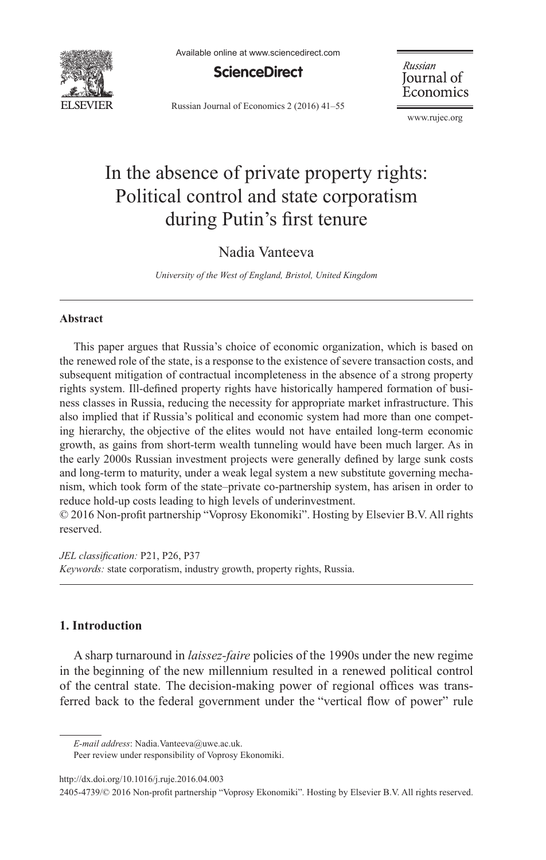

Available online at www.sciencedirect.com



Russian Journal of Economics 2 (2016) 41–55

Russian Journal of Economics

[www.rujec.org](http://www.rujec.org)

# In the absence of private property rights: Political control and state corporatism during Putin's first tenure

## Nadia Vanteeva

*University of the West of England, Bristol, United Kingdom*

#### **Abstract**

This paper argues that Russia's choice of economic organization, which is based on the renewed role of the state, is a response to the existence of severe transaction costs, and subsequent mitigation of contractual incompleteness in the absence of a strong property rights system. Ill-defined property rights have historically hampered formation of business classes in Russia, reducing the necessity for appropriate market infrastructure. This also implied that if Russia's political and economic system had more than one competing hierarchy, the objective of the elites would not have entailed long-term economic growth, as gains from short-term wealth tunneling would have been much larger. As in the early 2000s Russian investment projects were generally defined by large sunk costs and long-term to maturity, under a weak legal system a new substitute governing mechanism, which took form of the state–private co-partnership system, has arisen in order to reduce hold-up costs leading to high levels of underinvestment.

 $© 2016$  Non-profit partnership "Voprosy Ekonomiki". Hosting by Elsevier B.V. All rights reserved.

*JEL classification:* P21, P26, P37 *Keywords:* state corporatism, industry growth, property rights, Russia.

#### **1. Introduction**

A sharp turnaround in *laissez-faire* policies of the 1990s under the new regime in the beginning of the new millennium resulted in a renewed political control of the central state. The decision-making power of regional offices was transferred back to the federal government under the "vertical flow of power" rule

Peer review under responsibility of Voprosy Ekonomiki.

<http://dx.doi.org/10.1016/j.ruje.2016.04.003>

*E-mail address*: [Nadia.Vanteeva@uwe.ac.uk.](mailto:Nadia.Vanteeva@uwe.ac.uk) 

<sup>2405-4739/© 2016</sup> Non-profit partnership "Voprosy Ekonomiki". Hosting by Elsevier B.V. All rights reserved.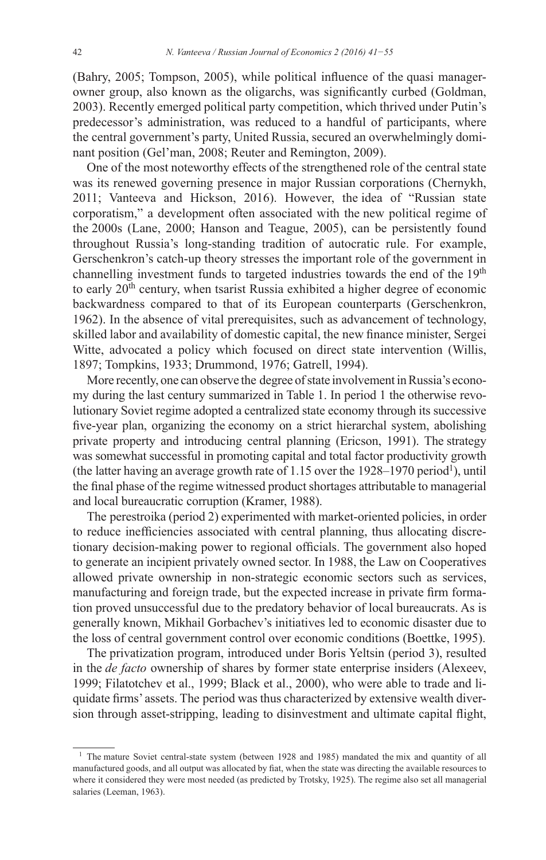(Bahry, 2005; Tompson, 2005), while political influence of the quasi managerowner group, also known as the oligarchs, was significantly curbed (Goldman, 2003). Recently emerged political party competition, which thrived under Putin's predecessor's administration, was reduced to a handful of participants, where the central government's party, United Russia, secured an overwhelmingly dominant position (Gel'man, 2008; Reuter and Remington, 2009).

One of the most noteworthy effects of the strengthened role of the central state was its renewed governing presence in major Russian corporations (Chernykh, 2011; Vanteeva and Hickson, 2016). However, the idea of "Russian state corporatism," a development often associated with the new political regime of the 2000s (Lane, 2000; Hanson and Teague, 2005), can be persistently found throughout Russia's long-standing tradition of autocratic rule. For example, Gerschenkron's catch-up theory stresses the important role of the government in channelling investment funds to targeted industries towards the end of the 19<sup>th</sup> to early 20<sup>th</sup> century, when tsarist Russia exhibited a higher degree of economic backwardness compared to that of its European counterparts (Gerschenkron, 1962). In the absence of vital prerequisites, such as advancement of technology, skilled labor and availability of domestic capital, the new finance minister, Sergei Witte, advocated a policy which focused on direct state intervention (Willis, 1897; Tompkins, 1933; Drummond, 1976; Gatrell, 1994).

More recently, one can observe the degree of state involvement in Russia's economy during the last century summarized in Table 1. In period 1 the otherwise revolutionary Soviet regime adopted a centralized state economy through its successive five-year plan, organizing the economy on a strict hierarchal system, abolishing private property and introducing central planning (Ericson, 1991). The strategy was somewhat successful in promoting capital and total factor productivity growth (the latter having an average growth rate of 1.15 over the 1928–1970 period<sup>1</sup>), until the final phase of the regime witnessed product shortages attributable to managerial and local bureaucratic corruption (Kramer, 1988).

The perestroika (period 2) experimented with market-oriented policies, in order to reduce inefficiencies associated with central planning, thus allocating discretionary decision-making power to regional officials. The government also hoped to generate an incipient privately owned sector. In 1988, the Law on Cooperatives allowed private ownership in non-strategic economic sectors such as services, manufacturing and foreign trade, but the expected increase in private firm formation proved unsuccessful due to the predatory behavior of local bureaucrats. As is generally known, Mikhail Gorbachev's initiatives led to economic disaster due to the loss of central government control over economic conditions (Boettke, 1995).

The privatization program, introduced under Boris Yeltsin (period 3), resulted in the *de facto* ownership of shares by former state enterprise insiders (Alexeev, 1999; Filatotchev et al., 1999; Black et al., 2000), who were able to trade and liquidate firms' assets. The period was thus characterized by extensive wealth diversion through asset-stripping, leading to disinvestment and ultimate capital flight,

<sup>&</sup>lt;sup>1</sup> The mature Soviet central-state system (between 1928 and 1985) mandated the mix and quantity of all manufactured goods, and all output was allocated by fiat, when the state was directing the available resources to where it considered they were most needed (as predicted by Trotsky, 1925). The regime also set all managerial salaries (Leeman, 1963).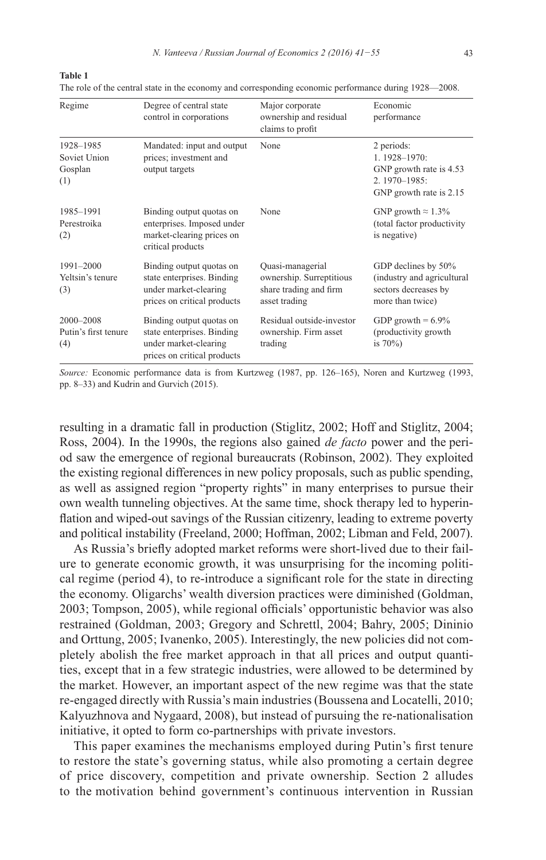N. Vanteeva / Russian Journal of Economics 2 (2016) 41-55

| I | I<br>٠<br>× |  |
|---|-------------|--|

The role of the central state in the economy and corresponding economic performance during 1928—2008.

| Regime<br>Degree of central state<br>control in corporations |                                                                                                                | Major corporate<br>ownership and residual<br>claims to profit                           | Economic<br>performance                                                                               |  |  |
|--------------------------------------------------------------|----------------------------------------------------------------------------------------------------------------|-----------------------------------------------------------------------------------------|-------------------------------------------------------------------------------------------------------|--|--|
| 1928-1985<br>Soviet Union<br>Gosplan<br>(1)                  | Mandated: input and output<br>prices; investment and<br>output targets                                         | None                                                                                    | 2 periods:<br>$1.1928 - 1970$ :<br>GNP growth rate is 4.53<br>2.1970-1985:<br>GNP growth rate is 2.15 |  |  |
| 1985-1991<br>Perestroika<br>(2)                              | Binding output quotas on<br>enterprises. Imposed under<br>market-clearing prices on<br>critical products       | None                                                                                    | GNP growth $\approx 1.3\%$<br>(total factor productivity<br>is negative)                              |  |  |
| 1991-2000<br>Yeltsin's tenure<br>(3)                         | Binding output quotas on<br>state enterprises. Binding<br>under market-clearing<br>prices on critical products | Quasi-managerial<br>ownership. Surreptitious<br>share trading and firm<br>asset trading | GDP declines by 50%<br>(industry and agricultural<br>sectors decreases by<br>more than twice)         |  |  |
| 2000-2008<br>Putin's first tenure<br>(4)                     | Binding output quotas on<br>state enterprises. Binding<br>under market-clearing<br>prices on critical products | Residual outside-investor<br>ownership. Firm asset<br>trading                           | GDP growth = $6.9\%$<br>(productivity growth<br>is $70\%$ )                                           |  |  |

Source: Economic performance data is from Kurtzweg (1987, pp. 126–165), Noren and Kurtzweg (1993, pp. 8–33) and Kudrin and Gurvich (2015).

resulting in a dramatic fall in production (Stiglitz, 2002; Hoff and Stiglitz, 2004; Ross, 2004). In the 1990s, the regions also gained *de facto* power and the period saw the emergence of regional bureaucrats (Robinson, 2002). They exploited the existing regional differences in new policy proposals, such as public spending, as well as assigned region "property rights" in many enterprises to pursue their own wealth tunneling objectives. At the same time, shock therapy led to hyperinflation and wiped-out savings of the Russian citizenry, leading to extreme poverty and political instability (Freeland, 2000; Hoffman, 2002; Libman and Feld, 2007).

As Russia's briefly adopted market reforms were short-lived due to their failure to generate economic growth, it was unsurprising for the incoming political regime (period 4), to re-introduce a significant role for the state in directing the economy. Oligarchs' wealth diversion practices were diminished (Goldman, 2003; Tompson, 2005), while regional officials' opportunistic behavior was also restrained (Goldman, 2003; Gregory and Schrettl, 2004; Bahry, 2005; Dininio and Orttung, 2005; Ivanenko, 2005). Interestingly, the new policies did not completely abolish the free market approach in that all prices and output quantities, except that in a few strategic industries, were allowed to be determined by the market. However, an important aspect of the new regime was that the state re-engaged directly with Russia's main industries (Boussena and Locatelli, 2010; Kalyuzhnova and Nygaard, 2008), but instead of pursuing the re-nationalisation initiative, it opted to form co-partnerships with private investors.

This paper examines the mechanisms employed during Putin's first tenure to restore the state's governing status, while also promoting a certain degree of price discovery, competition and private ownership. Section 2 alludes to the motivation behind government's continuous intervention in Russian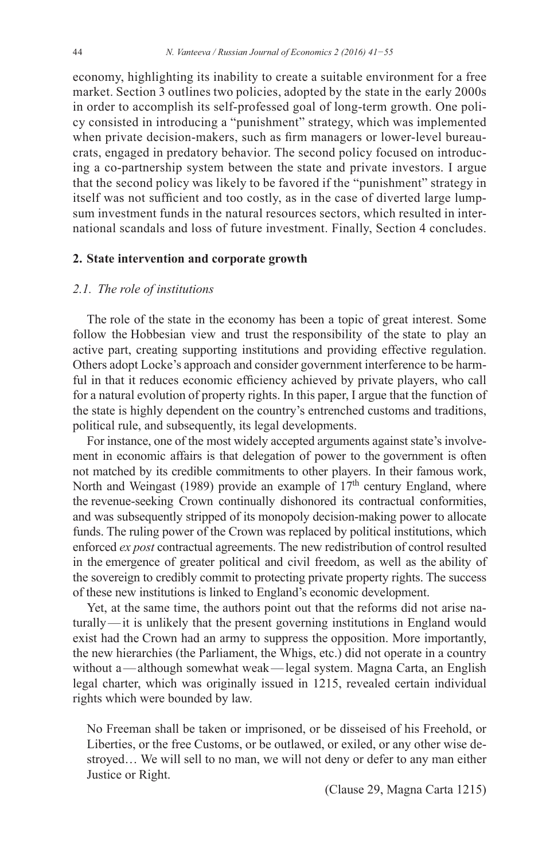economy, highlighting its inability to create a suitable environment for a free market. Section 3 outlines two policies, adopted by the state in the early 2000s in order to accomplish its self-professed goal of long-term growth. One policy consisted in introducing a "punishment" strategy, which was implemented when private decision-makers, such as firm managers or lower-level bureaucrats, engaged in predatory behavior. The second policy focused on introducing a co-partnership system between the state and private investors. I argue that the second policy was likely to be favored if the "punishment" strategy in itself was not sufficient and too costly, as in the case of diverted large lumpsum investment funds in the natural resources sectors, which resulted in international scandals and loss of future investment. Finally, Section 4 concludes.

#### **2. State intervention and corporate growth**

#### *2.1. The role of institutions*

The role of the state in the economy has been a topic of great interest. Some follow the Hobbesian view and trust the responsibility of the state to play an active part, creating supporting institutions and providing effective regulation. Others adopt Locke's approach and consider government interference to be harmful in that it reduces economic efficiency achieved by private players, who call for a natural evolution of property rights. In this paper, I argue that the function of the state is highly dependent on the country's entrenched customs and traditions, political rule, and subsequently, its legal developments.

For instance, one of the most widely accepted arguments against state's involvement in economic affairs is that delegation of power to the government is often not matched by its credible commitments to other players. In their famous work, North and Weingast (1989) provide an example of 17<sup>th</sup> century England, where the revenue-seeking Crown continually dishonored its contractual conformities, and was subsequently stripped of its monopoly decision-making power to allocate funds. The ruling power of the Crown was replaced by political institutions, which enforced *ex post* contractual agreements. The new redistribution of control resulted in the emergence of greater political and civil freedom, as well as the ability of the sovereign to credibly commit to protecting private property rights. The success of these new institutions is linked to England's economic development.

Yet, at the same time, the authors point out that the reforms did not arise naturally—it is unlikely that the present governing institutions in England would exist had the Crown had an army to suppress the opposition. More importantly, the new hierarchies (the Parliament, the Whigs, etc.) did not operate in a country without a—although somewhat weak—legal system. Magna Carta, an English legal charter, which was originally issued in 1215, revealed certain individual rights which were bounded by law.

No Freeman shall be taken or imprisoned, or be disseised of his Freehold, or Liberties, or the free Customs, or be outlawed, or exiled, or any other wise destroyed… We will sell to no man, we will not deny or defer to any man either Justice or Right.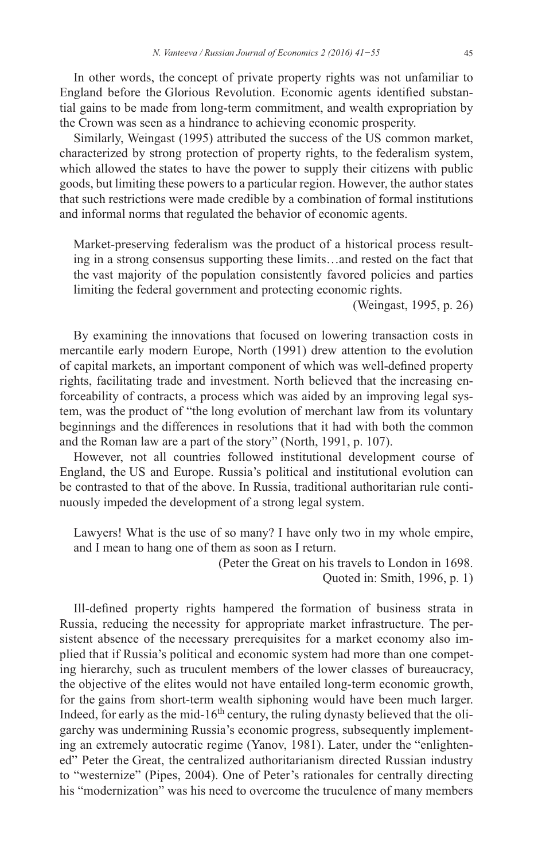In other words, the concept of private property rights was not unfamiliar to England before the Glorious Revolution. Economic agents identified substantial gains to be made from long-term commitment, and wealth expropriation by the Crown was seen as a hindrance to achieving economic prosperity.

Similarly, Weingast (1995) attributed the success of the US common market, characterized by strong protection of property rights, to the federalism system, which allowed the states to have the power to supply their citizens with public goods, but limiting these powers to a particular region. However, the author states that such restrictions were made credible by a combination of formal institutions and informal norms that regulated the behavior of economic agents.

Market-preserving federalism was the product of a historical process resulting in a strong consensus supporting these limits…and rested on the fact that the vast majority of the population consistently favored policies and parties limiting the federal government and protecting economic rights.

(Weingast, 1995, p. 26)

By examining the innovations that focused on lowering transaction costs in mercantile early modern Europe, North (1991) drew attention to the evolution of capital markets, an important component of which was well-defined property rights, facilitating trade and investment. North believed that the increasing enforceability of contracts, a process which was aided by an improving legal system, was the product of "the long evolution of merchant law from its voluntary beginnings and the differences in resolutions that it had with both the common and the Roman law are a part of the story" (North, 1991, p. 107).

However, not all countries followed institutional development course of England, the US and Europe. Russia's political and institutional evolution can be contrasted to that of the above. In Russia, traditional authoritarian rule continuously impeded the development of a strong legal system.

Lawyers! What is the use of so many? I have only two in my whole empire, and I mean to hang one of them as soon as I return.

(Peter the Great on his travels to London in 1698.)

Quoted in: Smith,  $1996$ , p. 1)

Ill-defined property rights hampered the formation of business strata in Russia, reducing the necessity for appropriate market infrastructure. The persistent absence of the necessary prerequisites for a market economy also implied that if Russia's political and economic system had more than one competing hierarchy, such as truculent members of the lower classes of bureaucracy, the objective of the elites would not have entailed long-term economic growth, for the gains from short-term wealth siphoning would have been much larger. Indeed, for early as the mid-16<sup>th</sup> century, the ruling dynasty believed that the oligarchy was undermining Russia's economic progress, subsequently implementing an extremely autocratic regime (Yanov, 1981). Later, under the "enlightened" Peter the Great, the centralized authoritarianism directed Russian industry to "westernize" (Pipes, 2004). One of Peter's rationales for centrally directing his "modernization" was his need to overcome the truculence of many members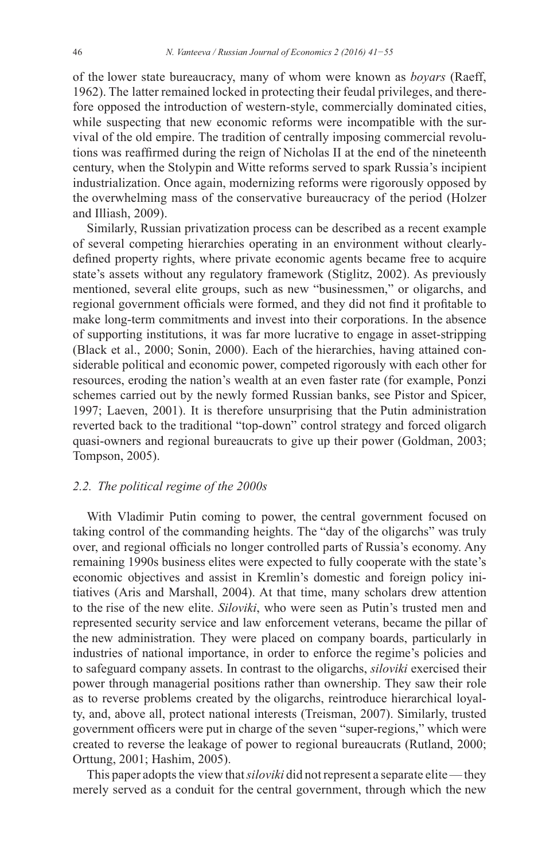of the lower state bureaucracy, many of whom were known as *boyars* (Raeff, 1962). The latter remained locked in protecting their feudal privileges, and therefore opposed the introduction of western-style, commercially dominated cities, while suspecting that new economic reforms were incompatible with the survival of the old empire. The tradition of centrally imposing commercial revolutions was reaffirmed during the reign of Nicholas II at the end of the nineteenth century, when the Stolypin and Witte reforms served to spark Russia's incipient industrialization. Once again, modernizing reforms were rigorously opposed by the overwhelming mass of the conservative bureaucracy of the period (Holzer and Illiash, 2009).

Similarly, Russian privatization process can be described as a recent example of several competing hierarchies operating in an environment without clearlydefined property rights, where private economic agents became free to acquire state's assets without any regulatory framework (Stiglitz, 2002). As previously mentioned, several elite groups, such as new "businessmen," or oligarchs, and regional government officials were formed, and they did not find it profitable to make long-term commitments and invest into their corporations. In the absence of supporting institutions, it was far more lucrative to engage in asset-stripping (Black et al., 2000; Sonin, 2000). Each of the hierarchies, having attained considerable political and economic power, competed rigorously with each other for resources, eroding the nation's wealth at an even faster rate (for example, Ponzi schemes carried out by the newly formed Russian banks, see Pistor and Spicer, 1997; Laeven, 2001). It is therefore unsurprising that the Putin administration reverted back to the traditional "top-down" control strategy and forced oligarch quasi-owners and regional bureaucrats to give up their power (Goldman, 2003; Tompson, 2005).

#### 2.2. The political regime of the 2000s

With Vladimir Putin coming to power, the central government focused on taking control of the commanding heights. The "day of the oligarchs" was truly over, and regional officials no longer controlled parts of Russia's economy. Any remaining 1990s business elites were expected to fully cooperate with the state's economic objectives and assist in Kremlin's domestic and foreign policy initiatives (Aris and Marshall, 2004). At that time, many scholars drew attention to the rise of the new elite. Siloviki, who were seen as Putin's trusted men and represented security service and law enforcement veterans, became the pillar of the new administration. They were placed on company boards, particularly in industries of national importance, in order to enforce the regime's policies and to safeguard company assets. In contrast to the oligarchs, siloviki exercised their power through managerial positions rather than ownership. They saw their role as to reverse problems created by the oligarchs, reintroduce hierarchical loyalty, and, above all, protect national interests (Treisman, 2007). Similarly, trusted government officers were put in charge of the seven "super-regions," which were created to reverse the leakage of power to regional bureaucrats (Rutland, 2000; Orttung, 2001; Hashim, 2005).

This paper adopts the view that *siloviki* did not represent a separate elite—they merely served as a conduit for the central government, through which the new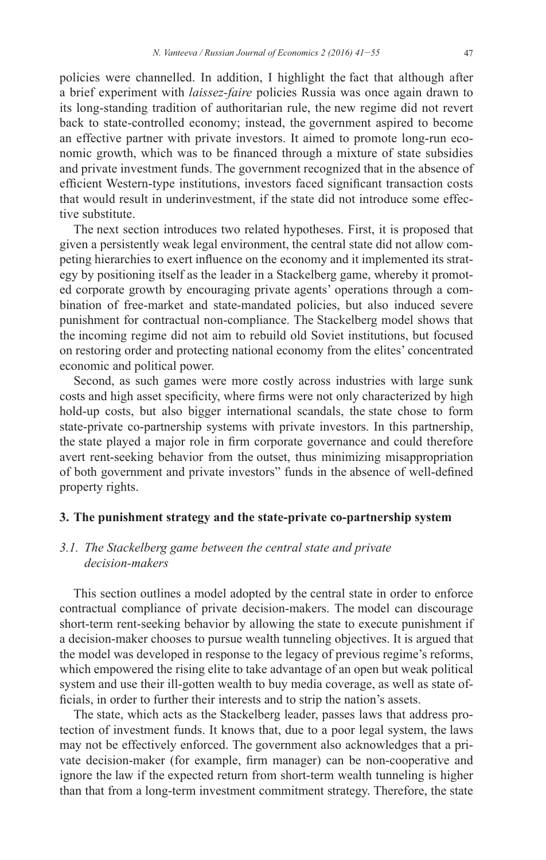policies were channelled. In addition, I highlight the fact that although after a brief experiment with *laissez-faire* policies Russia was once again drawn to its long-standing tradition of authoritarian rule, the new regime did not revert back to state-controlled economy; instead, the government aspired to become an effective partner with private investors. It aimed to promote long-run economic growth, which was to be financed through a mixture of state subsidies and private investment funds. The government recognized that in the absence of efficient Western-type institutions, investors faced significant transaction costs that would result in underinvestment, if the state did not introduce some effective substitute.

The next section introduces two related hypotheses. First, it is proposed that given a persistently weak legal environment, the central state did not allow competing hierarchies to exert influence on the economy and it implemented its strategy by positioning itself as the leader in a Stackelberg game, whereby it promoted corporate growth by encouraging private agents' operations through a combination of free-market and state-mandated policies, but also induced severe punishment for contractual non-compliance. The Stackelberg model shows that the incoming regime did not aim to rebuild old Soviet institutions, but focused on restoring order and protecting national economy from the elites' concentrated economic and political power.

Second, as such games were more costly across industries with large sunk costs and high asset specificity, where firms were not only characterized by high hold-up costs, but also bigger international scandals, the state chose to form state-private co-partnership systems with private investors. In this partnership, the state played a major role in firm corporate governance and could therefore avert rent-seeking behavior from the outset, thus minimizing misappropriation of both government and private investors" funds in the absence of well-defined property rights.

#### **3. The punishment strategy and the state-private co-partnership system**

### *3.1. The Stackelberg game between the central state and private decision-makers*

This section outlines a model adopted by the central state in order to enforce contractual compliance of private decision-makers. The model can discourage short-term rent-seeking behavior by allowing the state to execute punishment if a decision-maker chooses to pursue wealth tunneling objectives. It is argued that the model was developed in response to the legacy of previous regime's reforms, which empowered the rising elite to take advantage of an open but weak political system and use their ill-gotten wealth to buy media coverage, as well as state of ficials, in order to further their interests and to strip the nation's assets.

The state, which acts as the Stackelberg leader, passes laws that address protection of investment funds. It knows that, due to a poor legal system, the laws may not be effectively enforced. The government also acknowledges that a private decision-maker (for example, firm manager) can be non-cooperative and ignore the law if the expected return from short-term wealth tunneling is higher than that from a long-term investment commitment strategy. Therefore, the state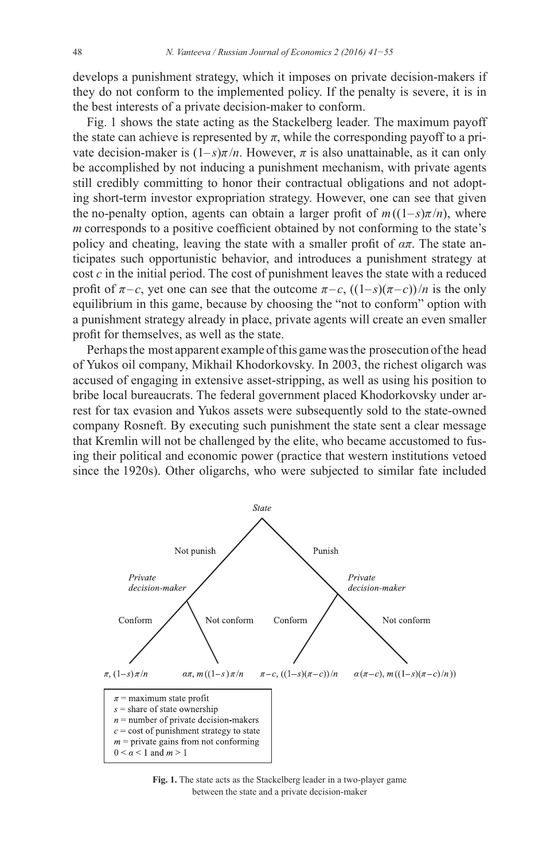develops a punishment strategy, which it imposes on private decision-makers if they do not conform to the implemented policy. If the penalty is severe, it is in the best interests of a private decision-maker to conform.

Fig. 1 shows the state acting as the Stackelberg leader. The maximum payoff the state can achieve is represented by  $\pi$ , while the corresponding payoff to a private decision-maker is  $(1-s)\pi/n$ . However,  $\pi$  is also unattainable, as it can only be accomplished by not inducing a punishment mechanism, with private agents still credibly committing to honor their contractual obligations and not adopting short-term investor expropriation strategy. However, one can see that given the no-penalty option, agents can obtain a larger profit of  $m((1-s)\pi/n)$ , where  $m$  corresponds to a positive coefficient obtained by not conforming to the state's policy and cheating, leaving the state with a smaller profit of  $\alpha\pi$ . The state anticipates such opportunistic behavior, and introduces a punishment strategy at cost *c* in the initial period. The cost of punishment leaves the state with a reduced profit of  $\pi - c$ , yet one can see that the outcome  $\pi - c$ ,  $((1-s)(\pi - c))/n$  is the only equilibrium in this game, because by choosing the "not to conform" option with a punishment strategy already in place, private agents will create an even smaller profit for themselves, as well as the state.

Perhaps the most apparent example of this game was the prosecution of the head of Yukos oil company, Mikhail Khodorkovsky. In 2003, the richest oligarch was accused of engaging in extensive asset-stripping, as well as using his position to bribe local bureaucrats. The federal government placed Khodorkovsky under arrest for tax evasion and Yukos assets were subsequently sold to the state-owned company Rosneft. By executing such punishment the state sent a clear message that Kremlin will not be challenged by the elite, who became accustomed to fusing their political and economic power (practice that western institutions vetoed since the 1920s). Other oligarchs, who were subjected to similar fate included



**Fig. 1.** The state acts as the Stackelberg leader in a two-player game between the state and a private decision-maker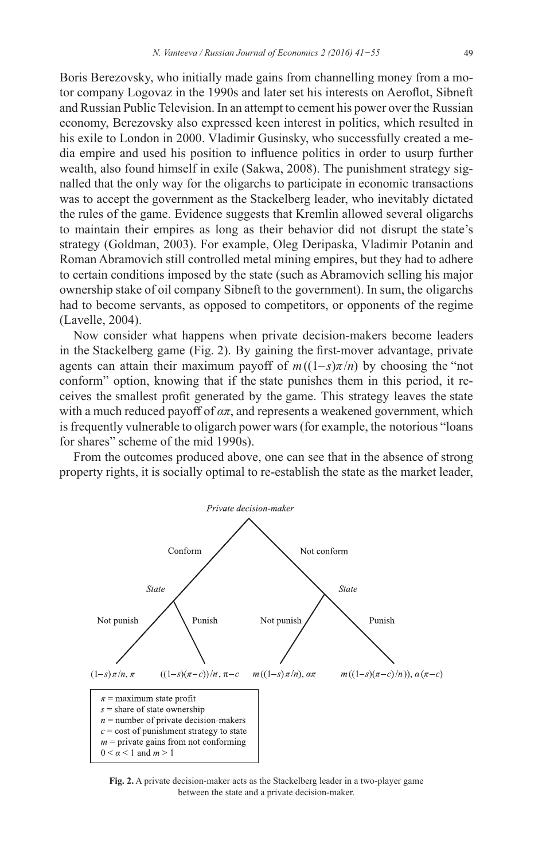Boris Berezovsky, who initially made gains from channelling money from a motor company Logovaz in the 1990s and later set his interests on Aeroflot, Sibneft and Russian Public Television. In an attempt to cement his power over the Russian economy, Berezovsky also expressed keen interest in politics, which resulted in his exile to London in 2000. Vladimir Gusinsky, who successfully created a media empire and used his position to influence politics in order to usurp further wealth, also found himself in exile (Sakwa, 2008). The punishment strategy signalled that the only way for the oligarchs to participate in economic transactions was to accept the government as the Stackelberg leader, who inevitably dictated the rules of the game. Evidence suggests that Kremlin allowed several oligarchs to maintain their empires as long as their behavior did not disrupt the state's strategy (Goldman, 2003). For example, Oleg Deripaska, Vladimir Potanin and Roman Abramovich still controlled metal mining empires, but they had to adhere to certain conditions imposed by the state (such as Abramovich selling his major ownership stake of oil company Sibneft to the government). In sum, the oligarchs had to become servants, as opposed to competitors, or opponents of the regime (Lavelle, 2004).

Now consider what happens when private decision-makers become leaders in the Stackelberg game (Fig. 2). By gaining the first-mover advantage, private agents can attain their maximum payoff of  $m((1-s)\pi/n)$  by choosing the "not conform" option, knowing that if the state punishes them in this period, it receives the smallest profit generated by the game. This strategy leaves the state with a much reduced payoff of  $a\pi$ , and represents a weakened government, which is frequently vulnerable to oligarch power wars (for example, the notorious "loans" for shares" scheme of the mid 1990s).

From the outcomes produced above, one can see that in the absence of strong property rights, it is socially optimal to re-establish the state as the market leader,



Fig. 2. A private decision-maker acts as the Stackelberg leader in a two-player game between the state and a private decision-maker.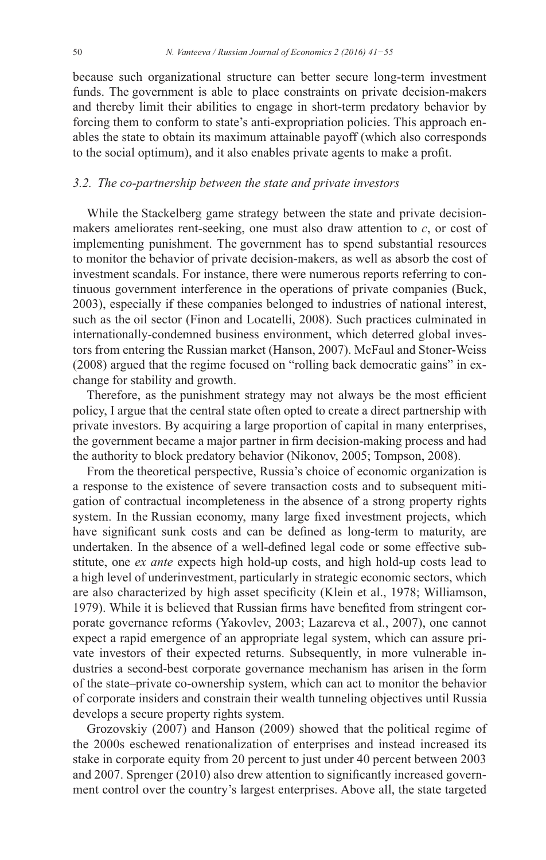because such organizational structure can better secure long-term investment funds. The government is able to place constraints on private decision-makers and thereby limit their abilities to engage in short-term predatory behavior by forcing them to conform to state's anti-expropriation policies. This approach enables the state to obtain its maximum attainable payoff (which also corresponds to the social optimum), and it also enables private agents to make a profit.

#### 3.2. The co-partnership between the state and private investors

While the Stackelberg game strategy between the state and private decisionmakers ameliorates rent-seeking, one must also draw attention to  $c$ , or cost of implementing punishment. The government has to spend substantial resources to monitor the behavior of private decision-makers, as well as absorb the cost of investment scandals. For instance, there were numerous reports referring to continuous government interference in the operations of private companies (Buck, 2003), especially if these companies belonged to industries of national interest, such as the oil sector (Finon and Locatelli, 2008). Such practices culminated in internationally-condemned business environment, which deterred global investors from entering the Russian market (Hanson, 2007). McFaul and Stoner-Weiss (2008) argued that the regime focused on "rolling back democratic gains" in exchange for stability and growth.

Therefore, as the punishment strategy may not always be the most efficient policy, I argue that the central state often opted to create a direct partnership with private investors. By acquiring a large proportion of capital in many enterprises, the government became a major partner in firm decision-making process and had the authority to block predatory behavior (Nikonov, 2005; Tompson, 2008).

From the theoretical perspective, Russia's choice of economic organization is a response to the existence of severe transaction costs and to subsequent mitigation of contractual incompleteness in the absence of a strong property rights system. In the Russian economy, many large fixed investment projects, which have significant sunk costs and can be defined as long-term to maturity, are undertaken. In the absence of a well-defined legal code or some effective substitute, one ex ante expects high hold-up costs, and high hold-up costs lead to a high level of underinvestment, particularly in strategic economic sectors, which are also characterized by high asset specificity (Klein et al., 1978; Williamson, 1979). While it is believed that Russian firms have benefited from stringent corporate governance reforms (Yakovlev, 2003; Lazareva et al., 2007), one cannot expect a rapid emergence of an appropriate legal system, which can assure private investors of their expected returns. Subsequently, in more vulnerable industries a second-best corporate governance mechanism has arisen in the form of the state-private co-ownership system, which can act to monitor the behavior of corporate insiders and constrain their wealth tunneling objectives until Russia develops a secure property rights system.

Grozovskiy (2007) and Hanson (2009) showed that the political regime of the 2000s eschewed renationalization of enterprises and instead increased its stake in corporate equity from 20 percent to just under 40 percent between 2003 and 2007. Sprenger (2010) also drew attention to significantly increased government control over the country's largest enterprises. Above all, the state targeted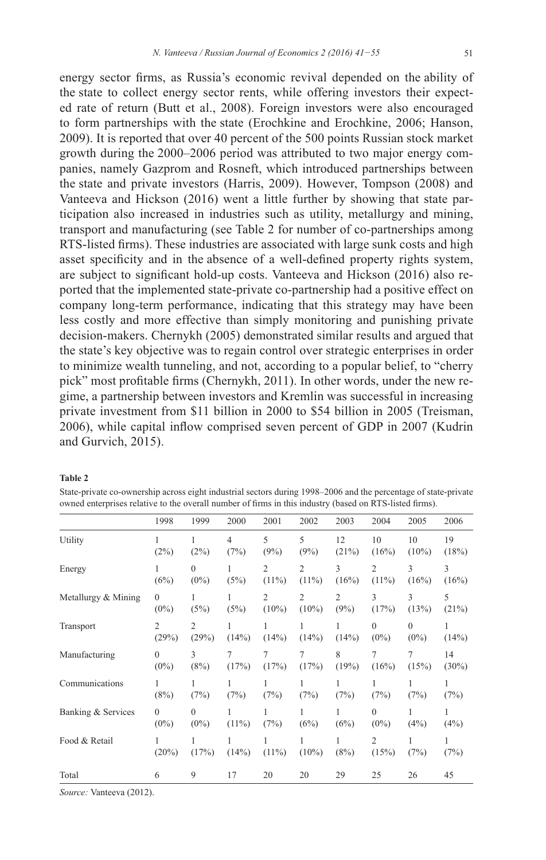energy sector firms, as Russia's economic revival depended on the ability of the state to collect energy sector rents, while offering investors their expected rate of return (Butt et al., 2008). Foreign investors were also encouraged to form partnerships with the state (Erochkine and Erochkine, 2006; Hanson, 2009). It is reported that over 40 percent of the 500 points Russian stock market growth during the 2000–2006 period was attributed to two major energy companies, namely Gazprom and Rosneft, which introduced partnerships between the state and private investors (Harris, 2009). However, Tompson (2008) and Vanteeva and Hickson (2016) went a little further by showing that state participation also increased in industries such as utility, metallurgy and mining, transport and manufacturing (see Table 2 for number of co-partnerships among RTS-listed firms). These industries are associated with large sunk costs and high asset specificity and in the absence of a well-defined property rights system, are subject to significant hold-up costs. Vanteeva and Hickson (2016) also reported that the implemented state-private co-partnership had a positive effect on company long-term performance, indicating that this strategy may have been less costly and more effective than simply monitoring and punishing private decision-makers. Chernykh (2005) demonstrated similar results and argued that the state's key objective was to regain control over strategic enterprises in order to minimize wealth tunneling, and not, according to a popular belief, to "cherry pick" most profitable firms (Chernykh, 2011). In other words, under the new regime, a partnership between investors and Kremlin was successful in increasing private investment from \$11 billion in 2000 to \$54 billion in 2005 (Treisman, 2006), while capital inflow comprised seven percent of GDP in 2007 (Kudrin and Gurvich, 2015).

#### **Table 2**

| State-private co-ownership across eight industrial sectors during 1998–2006 and the percentage of state-private |
|-----------------------------------------------------------------------------------------------------------------|
| owned enterprises relative to the overall number of firms in this industry (based on RTS-listed firms).         |

|                     | 1998                | 1999                      | 2000       | 2001                       | 2002                       | 2003                   | 2004                       | 2005           | 2006           |
|---------------------|---------------------|---------------------------|------------|----------------------------|----------------------------|------------------------|----------------------------|----------------|----------------|
| Utility             | (2%)                | 1<br>(2%)                 | 4<br>(7%)  | 5<br>(9%)                  | 5<br>(9%)                  | 12<br>(21%)            | 10<br>(16%)                | 10<br>$(10\%)$ | 19<br>(18%)    |
| Energy              | 1<br>(6%)           | $\overline{0}$<br>$(0\%)$ | (5%)       | $\overline{2}$<br>$(11\%)$ | $\overline{c}$<br>$(11\%)$ | 3<br>(16%)             | $\overline{2}$<br>$(11\%)$ | 3<br>(16%)     | 3<br>(16%)     |
| Metallurgy & Mining | $\theta$<br>$(0\%)$ | 1<br>(5%)                 | (5%)       | $\overline{2}$<br>$(10\%)$ | $\overline{c}$<br>$(10\%)$ | $\overline{2}$<br>(9%) | 3<br>(17%)                 | 3<br>(13%)     | 5<br>(21%)     |
| Transport           | 2<br>(29%)          | $\overline{c}$<br>(29%)   | (14%)      | 1<br>(14%)                 | (14%)                      | (14%)                  | $\theta$<br>$(0\%)$        | 0<br>$(0\%)$   | 1<br>(14%)     |
| Manufacturing       | $\Omega$<br>$(0\%)$ | 3<br>(8%)                 | 7<br>(17%) | $\overline{7}$<br>(17%)    | $\tau$<br>(17%)            | 8<br>(19%)             | 7<br>(16%)                 | 7<br>(15%)     | 14<br>$(30\%)$ |
| Communications      | 1<br>(8%)           | 1<br>(7%)                 | (7%)       | 1<br>(7%)                  | (7%)                       | (7%)                   | 1<br>(7%)                  | (7%)           | 1<br>(7%)      |
| Banking & Services  | $\theta$<br>$(0\%)$ | $\theta$<br>$(0\%)$       | $(11\%)$   | 1<br>(7%)                  | 1<br>(6%)                  | 1<br>(6%)              | $\theta$<br>$(0\%)$        | 1<br>(4%)      | 1<br>(4%)      |
| Food & Retail       | 1<br>(20%)          | (17%)                     | (14%)      | $(11\%)$                   | $(10\%)$                   | 1<br>(8%)              | 2<br>(15%)                 | 1<br>(7%)      | 1<br>(7%)      |
| Total               | 6                   | 9                         | 17         | 20                         | 20                         | 29                     | 25                         | 26             | 45             |

*Source:* Vanteeva (2012).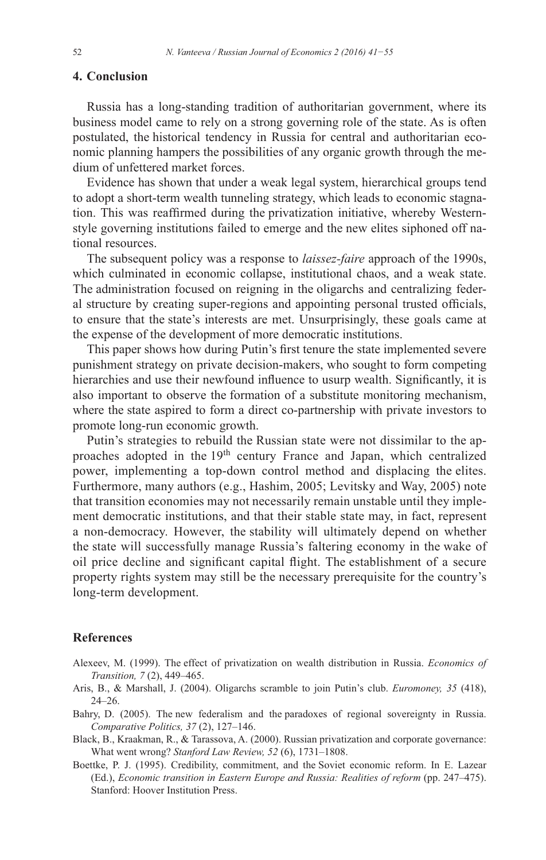#### **4. Conclusion**

Russia has a long-standing tradition of authoritarian government, where its business model came to rely on a strong governing role of the state. As is often postulated, the historical tendency in Russia for central and authoritarian economic planning hampers the possibilities of any organic growth through the medium of unfettered market forces.

Evidence has shown that under a weak legal system, hierarchical groups tend to adopt a short-term wealth tunneling strategy, which leads to economic stagnation. This was reaffirmed during the privatization initiative, whereby Westernstyle governing institutions failed to emerge and the new elites siphoned off national resources.

The subsequent policy was a response to *laissez-faire* approach of the 1990s, which culminated in economic collapse, institutional chaos, and a weak state. The administration focused on reigning in the oligarchs and centralizing federal structure by creating super-regions and appointing personal trusted officials, to ensure that the state's interests are met. Unsurprisingly, these goals came at the expense of the development of more democratic institutions.

This paper shows how during Putin's first tenure the state implemented severe punishment strategy on private decision-makers, who sought to form competing hierarchies and use their newfound influence to usurp wealth. Significantly, it is also important to observe the formation of a substitute monitoring mechanism, where the state aspired to form a direct co-partnership with private investors to promote long-run economic growth.

Putin's strategies to rebuild the Russian state were not dissimilar to the approaches adopted in the 19<sup>th</sup> century France and Japan, which centralized power, implementing a top-down control method and displacing the elites. Furthermore, many authors (e.g., Hashim, 2005; Levitsky and Way, 2005) note that transition economies may not necessarily remain unstable until they implement democratic institutions, and that their stable state may, in fact, represent a non-democracy. However, the stability will ultimately depend on whether the state will successfully manage Russia's faltering economy in the wake of oil price decline and significant capital flight. The establishment of a secure property rights system may still be the necessary prerequisite for the country's long-term development.

#### **References**

- Alexeev, M. (1999). The effect of privatization on wealth distribution in Russia. *Economics of Transition, 7* (2), 449–465.
- Aris, B., & Marshall, J. (2004). Oligarchs scramble to join Putin's club. *Euromoney, 35* (418), 24–26.
- Bahry, D. (2005). The new federalism and the paradoxes of regional sovereignty in Russia. *Comparative Politics, 37* (2), 127–146.
- Black, B., Kraakman, R., & Tarassova, A. (2000). Russian privatization and corporate governance: What went wrong? *Stanford Law Review, 52* (6), 1731–1808.
- Boettke, P. J. (1995). Credibility, commitment, and the Soviet economic reform. In E. Lazear (Ed.), *Economic transition in Eastern Europe and Russia: Realities of reform* (pp. 247–475). Stanford: Hoover Institution Press.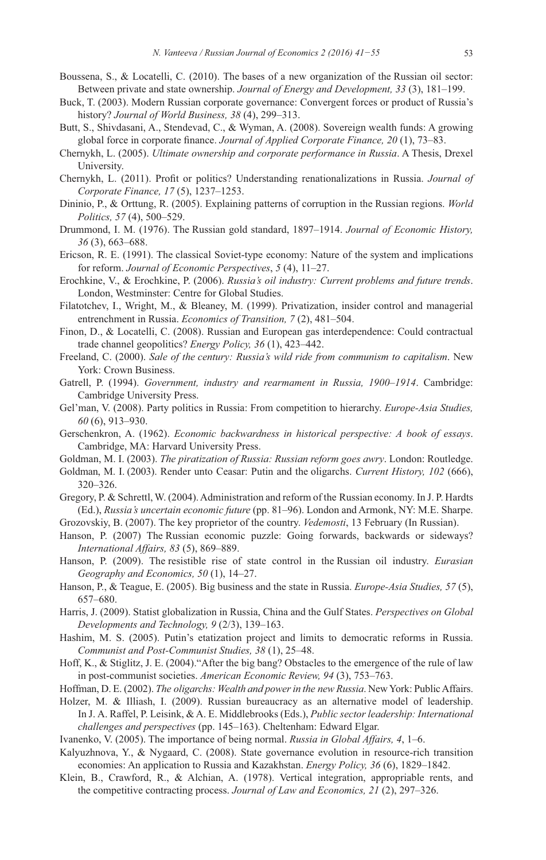- Boussena, S., & Locatelli, C. (2010). The bases of a new organization of the Russian oil sector: Between private and state ownership. Journal of Energy and Development, 33 (3), 181–199.
- Buck, T. (2003). Modern Russian corporate governance: Convergent forces or product of Russia's history? Journal of World Business, 38 (4), 299-313.
- Butt, S., Shivdasani, A., Stendevad, C., & Wyman, A. (2008). Sovereign wealth funds: A growing global force in corporate finance. Journal of Applied Corporate Finance, 20 (1), 73-83.
- Chernykh, L. (2005). Ultimate ownership and corporate performance in Russia. A Thesis, Drexel University.
- Chernykh, L. (2011). Profit or politics? Understanding renationalizations in Russia. Journal of Corporate Finance, 17(5), 1237-1253.
- Dininio, P., & Orttung, R. (2005). Explaining patterns of corruption in the Russian regions. World Politics, 57 (4), 500–529.
- Drummond, I. M. (1976). The Russian gold standard, 1897–1914. Journal of Economic History.  $36(3)$ , 663–688.
- Ericson, R. E. (1991). The classical Soviet-type economy: Nature of the system and implications for reform. Journal of Economic Perspectives, 5 (4), 11-27.
- Erochkine, V., & Erochkine, P. (2006). Russia's oil industry: Current problems and future trends. London, Westminster: Centre for Global Studies.
- Filatotchev, I., Wright, M., & Bleaney, M. (1999). Privatization, insider control and managerial entrenchment in Russia. Economics of Transition, 7 (2), 481-504.
- Finon, D., & Locatelli, C. (2008). Russian and European gas interdependence: Could contractual trade channel geopolitics? Energy Policy, 36 (1), 423-442.
- Freeland, C. (2000). Sale of the century: Russia's wild ride from communism to capitalism. New York: Crown Business.
- Gatrell, P. (1994). Government, industry and rearmament in Russia, 1900-1914. Cambridge: Cambridge University Press.
- Gel'man, V. (2008). Party politics in Russia: From competition to hierarchy. Europe-Asia Studies,  $60(6)$ , 913-930.
- Gerschenkron, A. (1962). Economic backwardness in historical perspective: A book of essays. Cambridge, MA: Harvard University Press.
- Goldman, M. I. (2003). The piratization of Russia: Russian reform goes awry. London: Routledge.
- Goldman, M. I. (2003). Render unto Ceasar: Putin and the oligarchs. Current History, 102 (666),  $320 - 326$ .
- Gregory, P. & Schrettl, W. (2004). Administration and reform of the Russian economy. In J. P. Hardts (Ed.), Russia's uncertain economic future (pp. 81–96). London and Armonk, NY: M.E. Sharpe.

Grozovskiy, B. (2007). The key proprietor of the country. *Vedemosti*, 13 February (In Russian).

- Hanson, P. (2007) The Russian economic puzzle: Going forwards, backwards or sideways? International Affairs, 83 (5), 869-889.
- Hanson, P. (2009). The resistible rise of state control in the Russian oil industry. *Eurasian* Geography and Economics, 50 (1), 14-27.
- Hanson, P., & Teague, E. (2005). Big business and the state in Russia. *Europe-Asia Studies*, 57(5), 657-680.

Harris, J. (2009). Statist globalization in Russia, China and the Gulf States. *Perspectives on Global* Developments and Technology,  $9(2/3)$ , 139–163.

- Hashim, M. S. (2005). Putin's etatization project and limits to democratic reforms in Russia. Communist and Post-Communist Studies, 38 (1), 25–48.
- Hoff, K., & Stiglitz, J. E. (2004)."After the big bang? Obstacles to the emergence of the rule of law in post-communist societies. American Economic Review, 94 (3), 753-763.
- Hoffman, D. E. (2002). The oligarchs: Wealth and power in the new Russia. New York: Public Affairs.
- Holzer, M. & Illiash, I. (2009). Russian bureaucracy as an alternative model of leadership. In J. A. Raffel, P. Leisink, & A. E. Middlebrooks (Eds.), Public sector leadership: International challenges and perspectives (pp. 145-163). Cheltenham: Edward Elgar.

Ivanenko, V. (2005). The importance of being normal. Russia in Global Affairs, 4, 1–6.

- Kalyuzhnova, Y., & Nygaard, C. (2008). State governance evolution in resource-rich transition economies: An application to Russia and Kazakhstan. Energy Policy, 36 (6), 1829-1842.
- Klein, B., Crawford, R., & Alchian, A. (1978). Vertical integration, appropriable rents, and the competitive contracting process. Journal of Law and Economics, 21 (2), 297–326.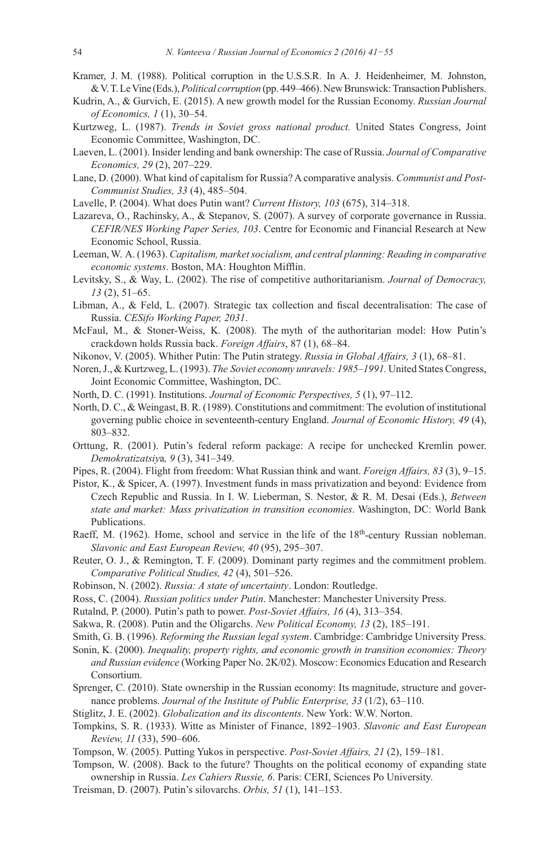- Kramer, J. M. (1988). Political corruption in the U.S.S.R. In A. J. Heidenheimer, M. Johnston, & V. T. Le Vine (Eds.), Political corruption (pp. 449–466). New Brunswick: Transaction Publishers.
- Kudrin, A., & Gurvich, E. (2015). A new growth model for the Russian Economy. Russian Journal of Economics, 1(1), 30–54.
- Kurtzweg, L. (1987). Trends in Soviet gross national product. United States Congress, Joint Economic Committee, Washington, DC.
- Laeven, L. (2001). Insider lending and bank ownership: The case of Russia. Journal of Comparative Economics, 29 (2), 207-229.
- Lane, D. (2000). What kind of capitalism for Russia? A comparative analysis. Communist and Post-Communist Studies, 33 (4), 485-504.
- Lavelle, P. (2004). What does Putin want? Current History, 103 (675), 314–318.
- Lazareva, O., Rachinsky, A., & Stepanov, S. (2007). A survey of corporate governance in Russia. CEFIR/NES Working Paper Series, 103. Centre for Economic and Financial Research at New Economic School, Russia.
- Leeman, W. A. (1963). Capitalism, market socialism, and central planning: Reading in comparative economic systems. Boston, MA: Houghton Mifflin.
- Levitsky, S., & Way, L. (2002). The rise of competitive authoritarianism. Journal of Democracy,  $13(2), 51-65.$
- Libman, A., & Feld, L. (2007). Strategic tax collection and fiscal decentralisation: The case of Russia. CESifo Working Paper, 2031.
- McFaul, M., & Stoner-Weiss, K. (2008). The myth of the authoritarian model: How Putin's crackdown holds Russia back. Foreign Affairs, 87 (1), 68-84.
- Nikonov, V. (2005). Whither Putin: The Putin strategy. Russia in Global Affairs, 3 (1), 68–81.
- Noren, J., & Kurtzweg, L. (1993). The Soviet economy unravels: 1985–1991. United States Congress, Joint Economic Committee, Washington, DC.
- North, D. C. (1991). Institutions. Journal of Economic Perspectives, 5 (1), 97-112.
- North, D. C., & Weingast, B. R. (1989). Constitutions and commitment: The evolution of institutional governing public choice in seventeenth-century England. Journal of Economic History, 49 (4),  $803 - 832.$
- Orttung, R. (2001). Putin's federal reform package: A recipe for unchecked Kremlin power. Demokratizatsiya, 9 (3), 341-349.
- Pipes, R. (2004). Flight from freedom: What Russian think and want. Foreign Affairs, 83 (3), 9–15.
- Pistor, K., & Spicer, A. (1997). Investment funds in mass privatization and beyond: Evidence from Czech Republic and Russia. In I. W. Lieberman, S. Nestor, & R. M. Desai (Eds.), Between state and market: Mass privatization in transition economies. Washington, DC: World Bank Publications.
- Raeff, M. (1962). Home, school and service in the life of the 18<sup>th</sup>-century Russian nobleman. Slavonic and East European Review, 40 (95), 295-307.
- Reuter, O. J., & Remington, T. F. (2009). Dominant party regimes and the commitment problem. Comparative Political Studies, 42 (4), 501-526.
- Robinson, N. (2002). Russia: A state of uncertainty. London: Routledge.
- Ross, C. (2004). Russian politics under Putin. Manchester: Manchester University Press.
- Rutalnd, P. (2000). Putin's path to power. Post-Soviet Affairs, 16 (4), 313-354.
- Sakwa, R. (2008). Putin and the Oligarchs. New Political Economy, 13 (2), 185–191.
- Smith, G. B. (1996). Reforming the Russian legal system. Cambridge: Cambridge University Press.
- Sonin, K. (2000). Inequality, property rights, and economic growth in transition economies: Theory and Russian evidence (Working Paper No. 2K/02). Moscow: Economics Education and Research Consortium.
- Sprenger, C. (2010). State ownership in the Russian economy: Its magnitude, structure and governance problems. Journal of the Institute of Public Enterprise, 33 (1/2), 63–110.
- Stiglitz, J. E. (2002). Globalization and its discontents. New York: W.W. Norton.
- Tompkins, S. R. (1933). Witte as Minister of Finance, 1892-1903. Slavonic and East European Review, 11 (33), 590-606.
- Tompson, W. (2005). Putting Yukos in perspective. Post-Soviet Affairs, 21 (2), 159-181.
- Tompson, W. (2008). Back to the future? Thoughts on the political economy of expanding state ownership in Russia. Les Cahiers Russie, 6. Paris: CERI, Sciences Po University.
- Treisman, D. (2007). Putin's silovarchs. Orbis, 51 (1), 141-153.